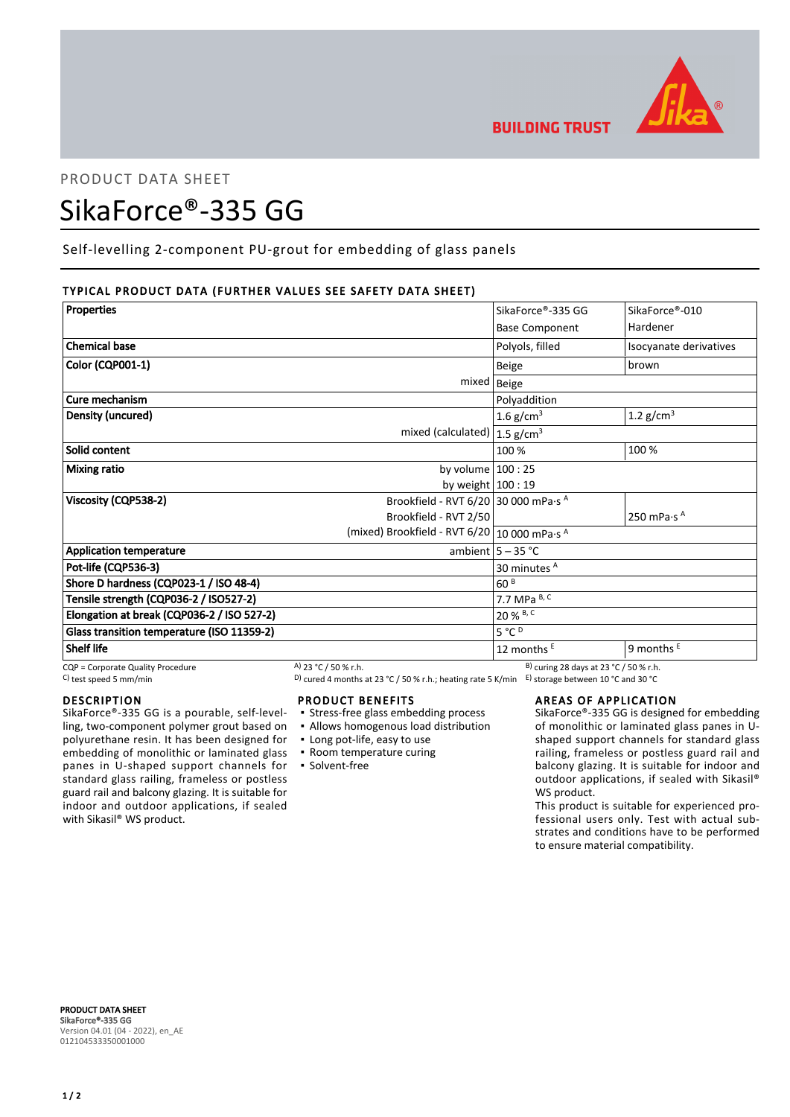

# PRODUCT DATA SHEET

# SikaForce®-335 GG

Self-levelling 2-component PU-grout for embedding of glass panels

# TYPICAL PRODUCT DATA (FURTHER VALUES SEE SAFETY DATA SHEET)

| <b>Properties</b>                          |                                                  | SikaForce®-335 GG                                 | SikaForce®-010                  |
|--------------------------------------------|--------------------------------------------------|---------------------------------------------------|---------------------------------|
|                                            |                                                  | <b>Base Component</b>                             | Hardener                        |
| <b>Chemical base</b>                       |                                                  | Polyols, filled                                   | Isocyanate derivatives          |
| <b>Color (CQP001-1)</b>                    |                                                  | <b>Beige</b>                                      | brown                           |
|                                            | mixed   Beige                                    |                                                   |                                 |
| Cure mechanism                             |                                                  | Polyaddition                                      |                                 |
| Density (uncured)                          |                                                  | 1.6 $g/cm3$                                       | 1.2 $g/cm3$                     |
|                                            | mixed (calculated) $ 1.5$ g/cm <sup>3</sup>      |                                                   |                                 |
| Solid content                              |                                                  | 100 %                                             | 100 %                           |
| <b>Mixing ratio</b>                        | by volume $100:25$                               |                                                   |                                 |
|                                            | by weight $100:19$                               |                                                   |                                 |
| Viscosity (CQP538-2)                       | Brookfield - RVT 6/20 30 000 mPa·s $^{\text{A}}$ |                                                   |                                 |
|                                            | Brookfield - RVT 2/50                            |                                                   | 250 mPa $\cdot$ s $^{\text{A}}$ |
|                                            | (mixed) Brookfield - RVT 6/20   10 000 mPa·s A   |                                                   |                                 |
| <b>Application temperature</b>             |                                                  | ambient $5 - 35$ °C                               |                                 |
| Pot-life (CQP536-3)                        |                                                  | 30 minutes A                                      |                                 |
| Shore D hardness (CQP023-1 / ISO 48-4)     |                                                  | 60 <sup>B</sup>                                   |                                 |
| Tensile strength (CQP036-2 / ISO527-2)     |                                                  | 7.7 MPa B, C                                      |                                 |
| Elongation at break (CQP036-2 / ISO 527-2) |                                                  | 20 % B, C                                         |                                 |
| Glass transition temperature (ISO 11359-2) |                                                  | $5^{\circ}C^{D}$                                  |                                 |
| <b>Shelf life</b>                          |                                                  | 12 months E                                       | 9 months $E$                    |
| CQP = Corporate Quality Procedure          | A) 23 °C / 50 % r.h.                             | <sup>B)</sup> curing 28 days at 23 °C / 50 % r.h. |                                 |

## DESCRIPTION

SikaForce®-335 GG is a pourable, self-levelling, two-component polymer grout based on polyurethane resin. It has been designed for embedding of monolithic or laminated glass panes in U-shaped support channels for standard glass railing, frameless or postless guard rail and balcony glazing. It is suitable for indoor and outdoor applications, if sealed with Sikasil<sup>®</sup> WS product.

C) test speed 5 mm/min D) cured 4 months at 23 °C / 50 % r.h.; heating rate 5 K/min E) storage between 10 °C and 30 °C

## PRODUCT BENEFITS

- **Stress-free glass embedding process**
- Allows homogenous load distribution
- Long pot-life, easy to use
- Room temperature curing
- Solvent-free

## AREAS OF APPLICATION

SikaForce®-335 GG is designed for embedding of monolithic or laminated glass panes in Ushaped support channels for standard glass railing, frameless or postless guard rail and balcony glazing. It is suitable for indoor and outdoor applications, if sealed with Sikasil® WS product.

This product is suitable for experienced professional users only. Test with actual substrates and conditions have to be performed to ensure material compatibility.

PRODUCT DATA SHEET SikaForce®-335 GG Version 04.01 (04 - 2022), en\_AE 012104533350001000